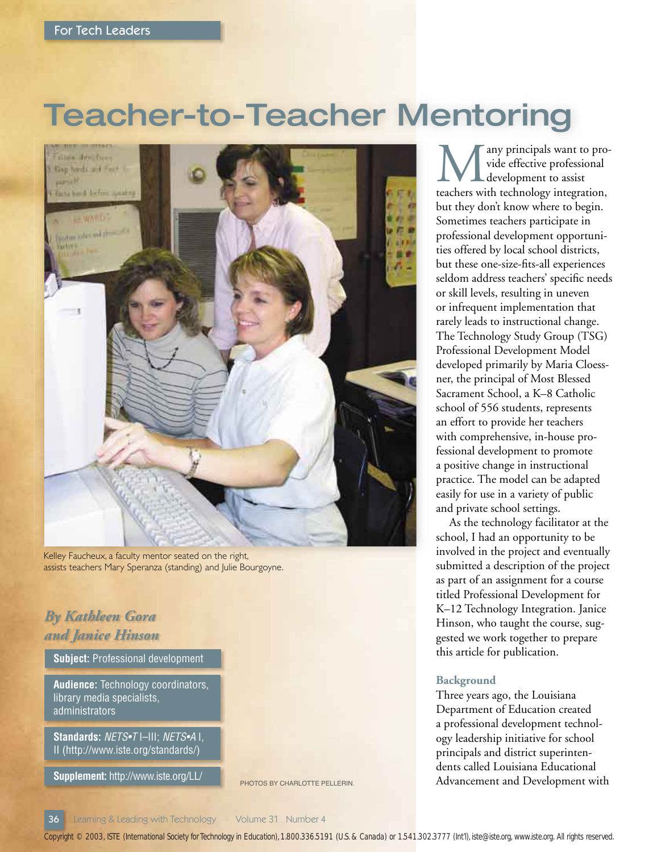# Teacher-to-Teacher Mentoring



Kelley Faucheux, a faculty mentor seated on the right, assists teachers Mary Speranza (standing) and Julie Bourgoyne.

## *By Kathleen Gora and Janice Hinson*

**Subject:** Professional development

**Audience:** Technology coordinators, library media specialists, administrators

**Standards:** NETS•T I–III; NETS•A I, II (http://www.iste.org/standards/)

**Supplement:** http://www.iste.org/LL/

PHOTOS BY CHARLOTTE PELLERIN.

**Many principals want to pro-**<br>vide effective professional<br>teachers with technology integration, vide effective professional **L** development to assist but they don't know where to begin. Sometimes teachers participate in professional development opportunities offered by local school districts, but these one-size-fits-all experiences seldom address teachers' specific needs or skill levels, resulting in uneven or infrequent implementation that rarely leads to instructional change. The Technology Study Group (TSG) Professional Development Model developed primarily by Maria Cloessner, the principal of Most Blessed Sacrament School, a K–8 Catholic school of 556 students, represents an effort to provide her teachers with comprehensive, in-house professional development to promote a positive change in instructional practice. The model can be adapted easily for use in a variety of public and private school settings.

As the technology facilitator at the school, I had an opportunity to be involved in the project and eventually submitted a description of the project as part of an assignment for a course titled Professional Development for K–12 Technology Integration. Janice Hinson, who taught the course, suggested we work together to prepare this article for publication.

#### **Background**

Three years ago, the Louisiana Department of Education created a professional development technology leadership initiative for school principals and district superintendents called Louisiana Educational Advancement and Development with

36 Learning & Leading with Technology Volume 31 Number 4

*Copyright © 2003, ISTE (International Society for Technology in Education), 1.800.336.5191 (U.S. & Canada) or 1.541.302.3777 (Int'l), iste@iste.org, www.iste.org. All rights reserved.*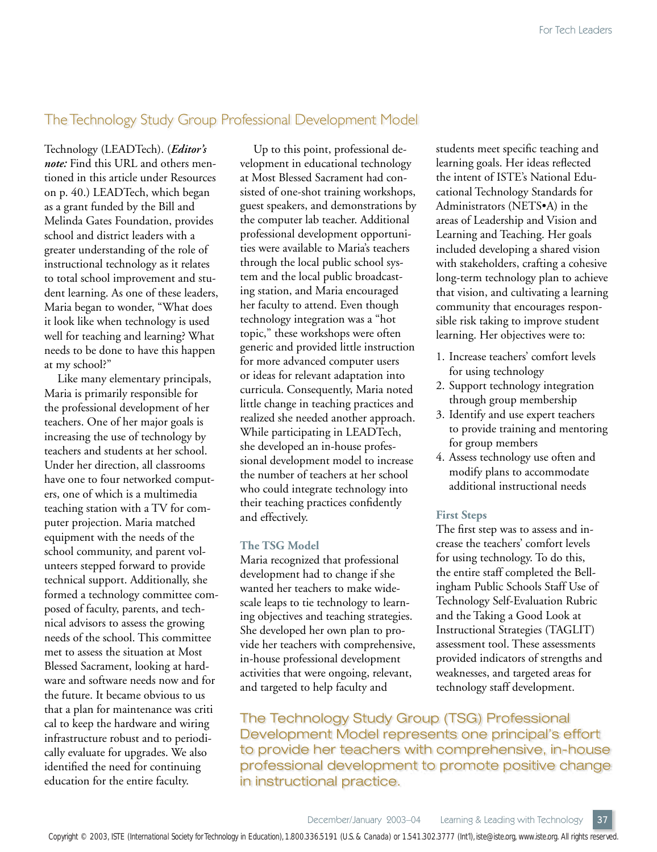### The Technology Study Group Professional Development Model

Technology (LEADTech). (*Editor's note:* Find this URL and others mentioned in this article under Resources on p. 40.) LEADTech, which began as a grant funded by the Bill and Melinda Gates Foundation, provides school and district leaders with a greater understanding of the role of instructional technology as it relates to total school improvement and student learning. As one of these leaders, Maria began to wonder, "What does it look like when technology is used well for teaching and learning? What needs to be done to have this happen at my school?"

Like many elementary principals, Maria is primarily responsible for the professional development of her teachers. One of her major goals is increasing the use of technology by teachers and students at her school. Under her direction, all classrooms have one to four networked computers, one of which is a multimedia teaching station with a TV for computer projection. Maria matched equipment with the needs of the school community, and parent volunteers stepped forward to provide technical support. Additionally, she formed a technology committee composed of faculty, parents, and technical advisors to assess the growing needs of the school. This committee met to assess the situation at Most Blessed Sacrament, looking at hardware and software needs now and for the future. It became obvious to us that a plan for maintenance was criti cal to keep the hardware and wiring infrastructure robust and to periodically evaluate for upgrades. We also identified the need for continuing education for the entire faculty.

Up to this point, professional development in educational technology at Most Blessed Sacrament had consisted of one-shot training workshops, guest speakers, and demonstrations by the computer lab teacher. Additional professional development opportunities were available to Maria's teachers through the local public school system and the local public broadcasting station, and Maria encouraged her faculty to attend. Even though technology integration was a "hot topic," these workshops were often generic and provided little instruction for more advanced computer users or ideas for relevant adaptation into curricula. Consequently, Maria noted little change in teaching practices and realized she needed another approach. While participating in LEADTech, she developed an in-house professional development model to increase the number of teachers at her school who could integrate technology into their teaching practices confidently and effectively.

#### **The TSG Model**

Maria recognized that professional development had to change if she wanted her teachers to make widescale leaps to tie technology to learning objectives and teaching strategies. She developed her own plan to provide her teachers with comprehensive, in-house professional development activities that were ongoing, relevant, and targeted to help faculty and

students meet specific teaching and learning goals. Her ideas reflected the intent of ISTE's National Educational Technology Standards for Administrators (NETS•A) in the areas of Leadership and Vision and Learning and Teaching. Her goals included developing a shared vision with stakeholders, crafting a cohesive long-term technology plan to achieve that vision, and cultivating a learning community that encourages responsible risk taking to improve student learning. Her objectives were to:

- 1. Increase teachers' comfort levels for using technology
- 2. Support technology integration through group membership
- 3. Identify and use expert teachers to provide training and mentoring for group members
- 4. Assess technology use often and modify plans to accommodate additional instructional needs

#### **First Steps**

The first step was to assess and increase the teachers' comfort levels for using technology. To do this, the entire staff completed the Bellingham Public Schools Staff Use of Technology Self-Evaluation Rubric and the Taking a Good Look at Instructional Strategies (TAGLIT) assessment tool. These assessments provided indicators of strengths and weaknesses, and targeted areas for technology staff development.

The Technology Study Group (TSG) Professional Development Model represents one principal's effort to provide her teachers with comprehensive, in-house professional development to promote positive change in instructional practice.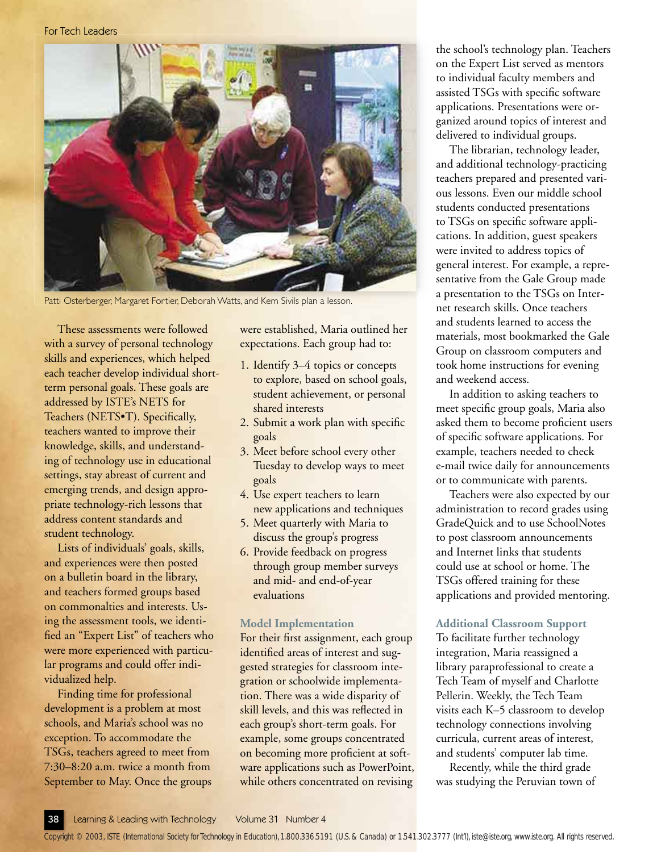For Tech Leaders



Patti Osterberger, Margaret Fortier, Deborah Watts, and Kem Sivils plan a lesson.

These assessments were followed with a survey of personal technology skills and experiences, which helped each teacher develop individual shortterm personal goals. These goals are addressed by ISTE's NETS for Teachers (NETS•T). Specifically, teachers wanted to improve their knowledge, skills, and understanding of technology use in educational settings, stay abreast of current and emerging trends, and design appropriate technology-rich lessons that address content standards and student technology.

Lists of individuals' goals, skills, and experiences were then posted on a bulletin board in the library, and teachers formed groups based on commonalties and interests. Using the assessment tools, we identified an "Expert List" of teachers who were more experienced with particular programs and could offer individualized help.

Finding time for professional development is a problem at most schools, and Maria's school was no exception. To accommodate the TSGs, teachers agreed to meet from 7:30–8:20 a.m. twice a month from September to May. Once the groups were established, Maria outlined her expectations. Each group had to:

- 1. Identify 3–4 topics or concepts to explore, based on school goals, student achievement, or personal shared interests
- 2. Submit a work plan with specific goals
- 3. Meet before school every other Tuesday to develop ways to meet goals
- 4. Use expert teachers to learn new applications and techniques
- 5. Meet quarterly with Maria to discuss the group's progress
- 6. Provide feedback on progress through group member surveys and mid- and end-of-year evaluations

#### **Model Implementation**

For their first assignment, each group identified areas of interest and suggested strategies for classroom integration or schoolwide implementation. There was a wide disparity of skill levels, and this was reflected in each group's short-term goals. For example, some groups concentrated on becoming more proficient at software applications such as PowerPoint, while others concentrated on revising the school's technology plan. Teachers on the Expert List served as mentors to individual faculty members and assisted TSGs with specific software applications. Presentations were organized around topics of interest and delivered to individual groups.

The librarian, technology leader, and additional technology-practicing teachers prepared and presented various lessons. Even our middle school students conducted presentations to TSGs on specific software applications. In addition, guest speakers were invited to address topics of general interest. For example, a representative from the Gale Group made a presentation to the TSGs on Internet research skills. Once teachers and students learned to access the materials, most bookmarked the Gale Group on classroom computers and took home instructions for evening and weekend access.

In addition to asking teachers to meet specific group goals, Maria also asked them to become proficient users of specific software applications. For example, teachers needed to check e-mail twice daily for announcements or to communicate with parents.

Teachers were also expected by our administration to record grades using GradeQuick and to use SchoolNotes to post classroom announcements and Internet links that students could use at school or home. The TSGs offered training for these applications and provided mentoring.

#### **Additional Classroom Support**

To facilitate further technology integration, Maria reassigned a library paraprofessional to create a Tech Team of myself and Charlotte Pellerin. Weekly, the Tech Team visits each K–5 classroom to develop technology connections involving curricula, current areas of interest, and students' computer lab time.

Recently, while the third grade was studying the Peruvian town of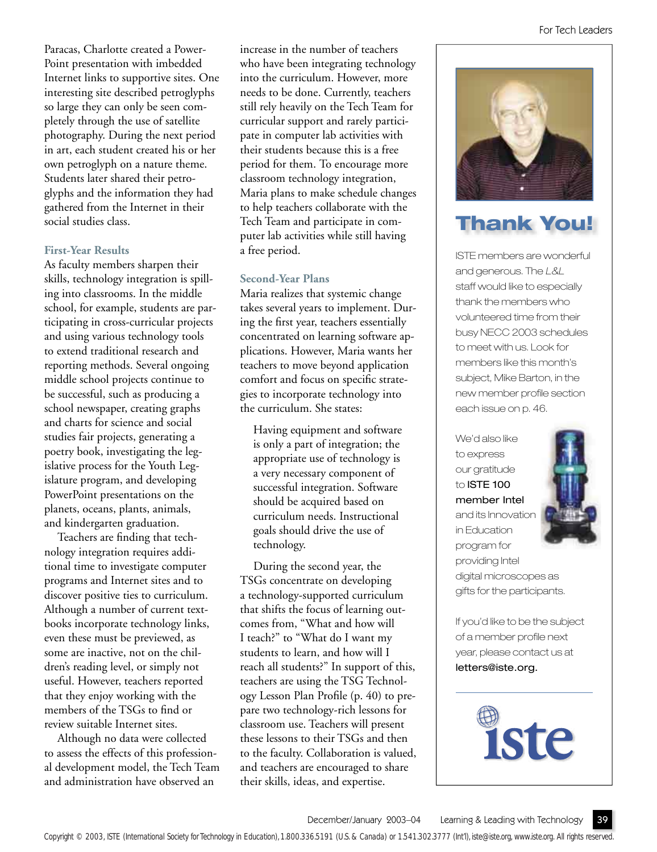Paracas, Charlotte created a Power-Point presentation with imbedded Internet links to supportive sites. One interesting site described petroglyphs so large they can only be seen completely through the use of satellite photography. During the next period in art, each student created his or her own petroglyph on a nature theme. Students later shared their petroglyphs and the information they had gathered from the Internet in their social studies class.

#### **First-Year Results**

As faculty members sharpen their skills, technology integration is spilling into classrooms. In the middle school, for example, students are participating in cross-curricular projects and using various technology tools to extend traditional research and reporting methods. Several ongoing middle school projects continue to be successful, such as producing a school newspaper, creating graphs and charts for science and social studies fair projects, generating a poetry book, investigating the legislative process for the Youth Legislature program, and developing PowerPoint presentations on the planets, oceans, plants, animals, and kindergarten graduation.

Teachers are finding that technology integration requires additional time to investigate computer programs and Internet sites and to discover positive ties to curriculum. Although a number of current textbooks incorporate technology links, even these must be previewed, as some are inactive, not on the children's reading level, or simply not useful. However, teachers reported that they enjoy working with the members of the TSGs to find or review suitable Internet sites.

Although no data were collected to assess the effects of this professional development model, the Tech Team and administration have observed an

increase in the number of teachers who have been integrating technology into the curriculum. However, more needs to be done. Currently, teachers still rely heavily on the Tech Team for curricular support and rarely participate in computer lab activities with their students because this is a free period for them. To encourage more classroom technology integration, Maria plans to make schedule changes to help teachers collaborate with the Tech Team and participate in computer lab activities while still having a free period.

#### **Second-Year Plans**

Maria realizes that systemic change takes several years to implement. During the first year, teachers essentially concentrated on learning software applications. However, Maria wants her teachers to move beyond application comfort and focus on specific strategies to incorporate technology into the curriculum. She states:

Having equipment and software is only a part of integration; the appropriate use of technology is a very necessary component of successful integration. Software should be acquired based on curriculum needs. Instructional goals should drive the use of technology.

During the second year, the TSGs concentrate on developing a technology-supported curriculum that shifts the focus of learning outcomes from, "What and how will I teach?" to "What do I want my students to learn, and how will I reach all students?" In support of this, teachers are using the TSG Technology Lesson Plan Profile (p. 40) to prepare two technology-rich lessons for classroom use. Teachers will present these lessons to their TSGs and then to the faculty. Collaboration is valued, and teachers are encouraged to share their skills, ideas, and expertise.



# Thank You!

ISTE members are wonderful and generous. The L&L staff would like to especially thank the members who volunteered time from their busy NECC 2003 schedules to meet with us. Look for members like this month's subject, Mike Barton, in the new member profile section each issue on p. 46.

We'd also like to express our gratitude to ISTE 100 member Intel and its Innovation in Education program for providing Intel digital microscopes as gifts for the participants.



If you'd like to be the subject

of a member profile next year, please contact us at letters@iste.org.